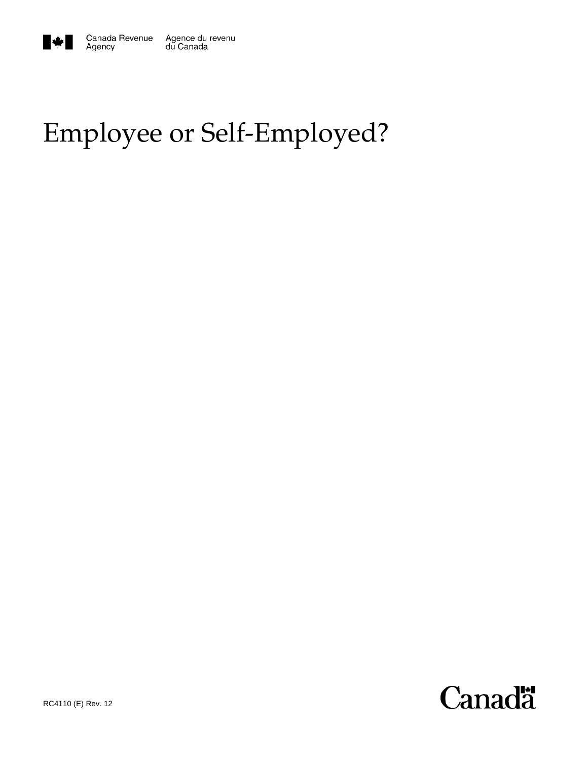

Agency

# Employee or Self-Employed?

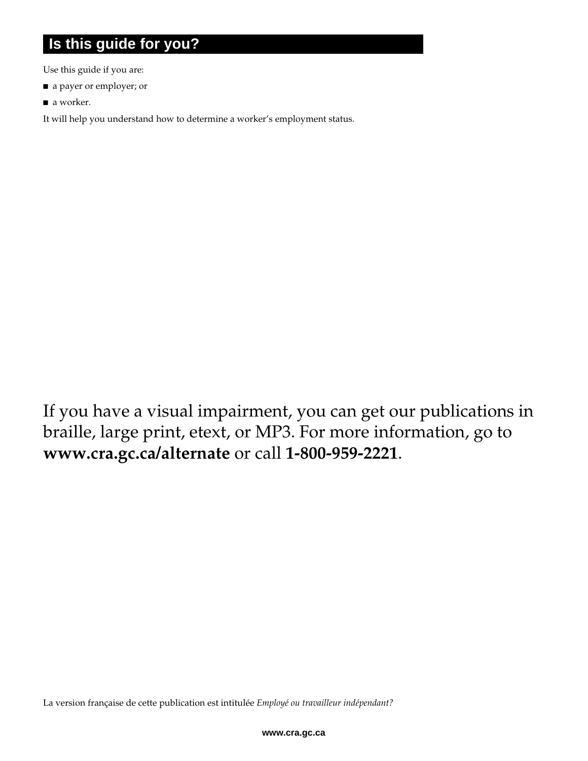### **Is this guide for you?**

Use this guide if you are:

- a payer or employer; or
- a worker.

It will help you understand how to determine a worker's employment status.

If you have a visual impairment, you can get our publications in braille, large print, etext, or MP3. For more information, go to **www.cra.gc.ca/alternate** or call **1-800-959-2221**.

La version française de cette publication est intitulée *Employé ou travailleur indépendant?*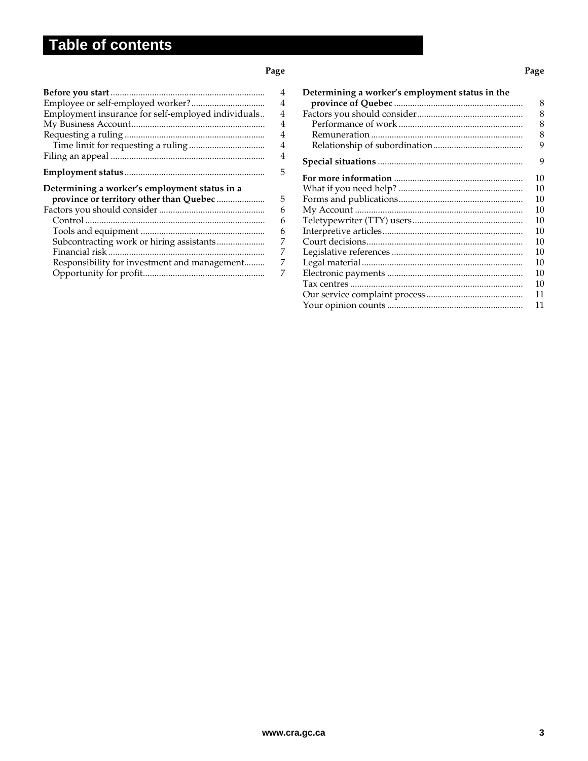### **Table of contents**

l

#### **Page Page 2012 Page 2013 Page 2013 Page 2013 Page 2013**

| Employment insurance for self-employed individuals                                                                                                                                   | 4<br>4<br>4<br>4<br>4<br>4           |
|--------------------------------------------------------------------------------------------------------------------------------------------------------------------------------------|--------------------------------------|
|                                                                                                                                                                                      | 4                                    |
|                                                                                                                                                                                      | 5                                    |
| Determining a worker's employment status in a<br>province or territory other than Quebec<br>Subcontracting work or hiring assistants<br>Responsibility for investment and management | 5<br>6<br>6<br>6<br>7<br>7<br>7<br>7 |

| Determining a worker's employment status in the | 8<br>8<br>8<br>8<br>9 |
|-------------------------------------------------|-----------------------|
|                                                 | 9                     |
|                                                 | 10<br>10              |
|                                                 | 10                    |
|                                                 | 10                    |
|                                                 | 10<br>10              |
|                                                 | 10                    |
|                                                 | 10<br>10              |
|                                                 | 10                    |
|                                                 | 10                    |
|                                                 | 11<br>11              |
|                                                 |                       |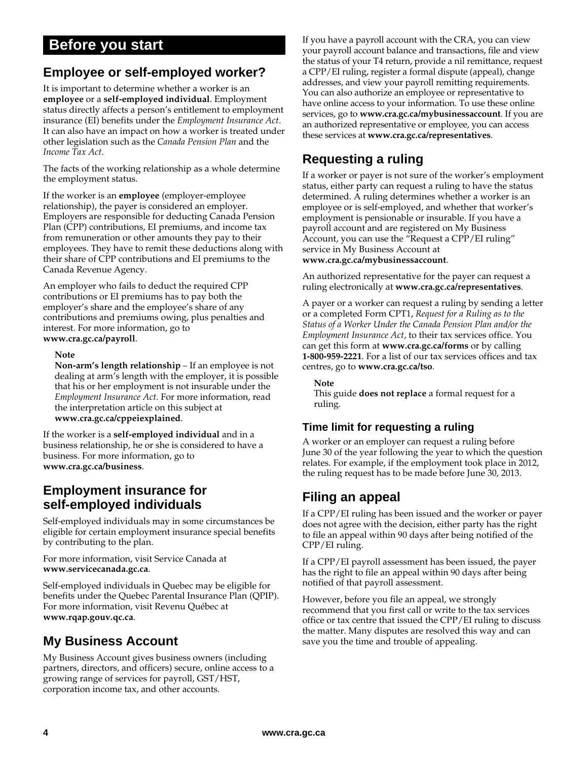### **Before you start**

### **Employee or self-employed worker?**

It is important to determine whether a worker is an **employee** or a **self-employed individual**. Employment status directly affects a person's entitlement to employment insurance (EI) benefits under the *Employment Insurance Act*. It can also have an impact on how a worker is treated under other legislation such as the *Canada Pension Plan* and the *Income Tax Act*.

The facts of the working relationship as a whole determine the employment status.

If the worker is an **employee** (employer-employee relationship), the payer is considered an employer. Employers are responsible for deducting Canada Pension Plan (CPP) contributions, EI premiums, and income tax from remuneration or other amounts they pay to their employees. They have to remit these deductions along with their share of CPP contributions and EI premiums to the Canada Revenue Agency.

An employer who fails to deduct the required CPP contributions or EI premiums has to pay both the employer's share and the employee's share of any contributions and premiums owing, plus penalties and interest. For more information, go to **www.cra.gc.ca/payroll**.

#### **Note**

**Non-arm's length relationship** – If an employee is not dealing at arm's length with the employer, it is possible that his or her employment is not insurable under the *Employment Insurance Act.* For more information, read the interpretation article on this subject at **www.cra.gc.ca/cppeiexplained**.

If the worker is a **self-employed individual** and in a business relationship, he or she is considered to have a business. For more information, go to **www.cra.gc.ca/business**.

### **Employment insurance for self-employed individuals**

Self-employed individuals may in some circumstances be eligible for certain employment insurance special benefits by contributing to the plan.

For more information, visit Service Canada at **www.servicecanada.gc.ca**.

Self-employed individuals in Quebec may be eligible for benefits under the Quebec Parental Insurance Plan (QPIP). For more information, visit Revenu Québec at **www.rqap.gouv.qc.ca**.

### **My Business Account**

My Business Account gives business owners (including partners, directors, and officers) secure, online access to a growing range of services for payroll, GST/HST, corporation income tax, and other accounts.

If you have a payroll account with the CRA, you can view your payroll account balance and transactions, file and view the status of your T4 return, provide a nil remittance, request a CPP/EI ruling, register a formal dispute (appeal), change addresses, and view your payroll remitting requirements. You can also authorize an employee or representative to have online access to your information. To use these online services, go to **www.cra.gc.ca/mybusinessaccount**. If you are an authorized representative or employee, you can access these services at **www.cra.gc.ca/representatives**.

### **Requesting a ruling**

If a worker or payer is not sure of the worker's employment status, either party can request a ruling to have the status determined. A ruling determines whether a worker is an employee or is self-employed, and whether that worker's employment is pensionable or insurable. If you have a payroll account and are registered on My Business Account, you can use the "Request a CPP/EI ruling" service in My Business Account at **www.cra.gc.ca/mybusinessaccount**.

An authorized representative for the payer can request a ruling electronically at **www.cra.gc.ca/representatives**.

A payer or a worker can request a ruling by sending a letter or a completed Form CPT1, *Request for a Ruling as to the Status of a Worker Under the Canada Pension Plan and/or the Employment Insurance Act*, to their tax services office. You can get this form at **www.cra.gc.ca/forms** or by calling **1-800-959-2221**. For a list of our tax services offices and tax centres, go to **www.cra.gc.ca/tso**.

#### **Note**

This guide **does not replace** a formal request for a ruling.

### **Time limit for requesting a ruling**

A worker or an employer can request a ruling before June 30 of the year following the year to which the question relates. For example, if the employment took place in 2012, the ruling request has to be made before June 30, 2013.

### **Filing an appeal**

If a CPP/EI ruling has been issued and the worker or payer does not agree with the decision, either party has the right to file an appeal within 90 days after being notified of the CPP/EI ruling.

If a CPP/EI payroll assessment has been issued, the payer has the right to file an appeal within 90 days after being notified of that payroll assessment.

However, before you file an appeal, we strongly recommend that you first call or write to the tax services office or tax centre that issued the CPP/EI ruling to discuss the matter. Many disputes are resolved this way and can save you the time and trouble of appealing.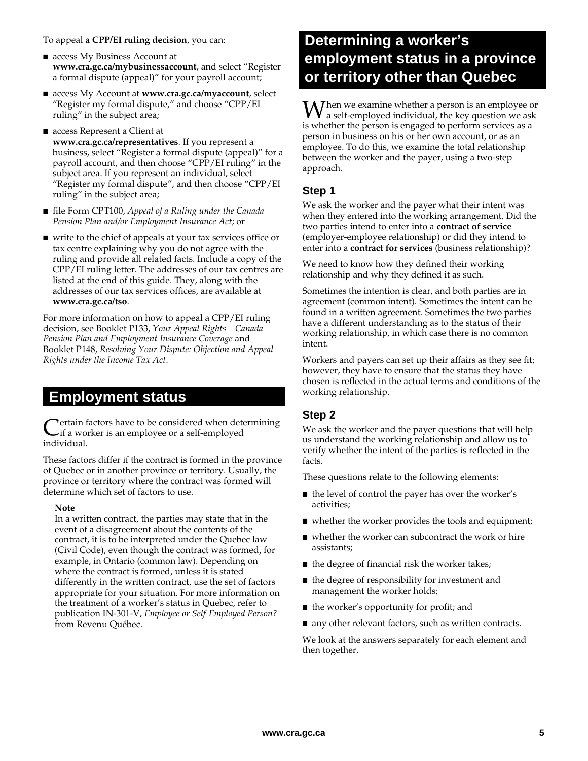#### To appeal **a CPP/EI ruling decision**, you can:

- access My Business Account at **www.cra.gc.ca/mybusinessaccount**, and select "Register a formal dispute (appeal)" for your payroll account;
- access My Account at **www.cra.gc.ca/myaccount**, select "Register my formal dispute," and choose "CPP/EI ruling" in the subject area;
- access Represent a Client at **www.cra.gc.ca/representatives**. If you represent a business, select "Register a formal dispute (appeal)" for a payroll account, and then choose "CPP/EI ruling" in the subject area. If you represent an individual, select "Register my formal dispute", and then choose "CPP/EI ruling" in the subject area;
- file Form CPT100*, Appeal of a Ruling under the Canada Pension Plan and/or Employment Insurance Act*; or
- write to the chief of appeals at your tax services office or tax centre explaining why you do not agree with the ruling and provide all related facts. Include a copy of the CPP/EI ruling letter. The addresses of our tax centres are listed at the end of this guide. They, along with the addresses of our tax services offices, are available at **www.cra.gc.ca/tso**.

For more information on how to appeal a CPP/EI ruling decision, see Booklet P133, *Your Appeal Rights – Canada Pension Plan and Employment Insurance Coverage* and Booklet P148, *Resolving Your Dispute: Objection and Appeal Rights under the Income Tax Act*.

### **Employment status**

Tertain factors have to be considered when determining if a worker is an employee or a self-employed Certain fa<br>individual.

These factors differ if the contract is formed in the province of Quebec or in another province or territory. Usually, the province or territory where the contract was formed will determine which set of factors to use.

#### **Note**

In a written contract, the parties may state that in the event of a disagreement about the contents of the contract, it is to be interpreted under the Quebec law (Civil Code), even though the contract was formed, for example, in Ontario (common law). Depending on where the contract is formed, unless it is stated differently in the written contract, use the set of factors appropriate for your situation. For more information on the treatment of a worker's status in Quebec, refer to publication IN-301-V, *Employee or Self-Employed Person?* from Revenu Québec.

## **Determining a worker's employment status in a province or territory other than Quebec**

hen we examine whether a person is an employee or  $\mathbf{W}$  hen we examine whether a person is an employee or<br>a self-employed individual, the key question we ask<br>is related to a green is grouped to a gradient service or is whether the person is engaged to perform services as a person in business on his or her own account, or as an employee. To do this, we examine the total relationship between the worker and the payer, using a two-step approach.

#### **Step 1**

We ask the worker and the payer what their intent was when they entered into the working arrangement. Did the two parties intend to enter into a **contract of service** (employer-employee relationship) or did they intend to enter into a **contract for services** (business relationship)?

We need to know how they defined their working relationship and why they defined it as such.

Sometimes the intention is clear, and both parties are in agreement (common intent). Sometimes the intent can be found in a written agreement. Sometimes the two parties have a different understanding as to the status of their working relationship, in which case there is no common intent.

Workers and payers can set up their affairs as they see fit; however, they have to ensure that the status they have chosen is reflected in the actual terms and conditions of the working relationship.

#### **Step 2**

We ask the worker and the payer questions that will help us understand the working relationship and allow us to verify whether the intent of the parties is reflected in the facts.

These questions relate to the following elements:

- the level of control the payer has over the worker's activities;
- whether the worker provides the tools and equipment;
- whether the worker can subcontract the work or hire assistants;
- the degree of financial risk the worker takes;
- the degree of responsibility for investment and management the worker holds;
- the worker's opportunity for profit; and
- any other relevant factors, such as written contracts.

We look at the answers separately for each element and then together.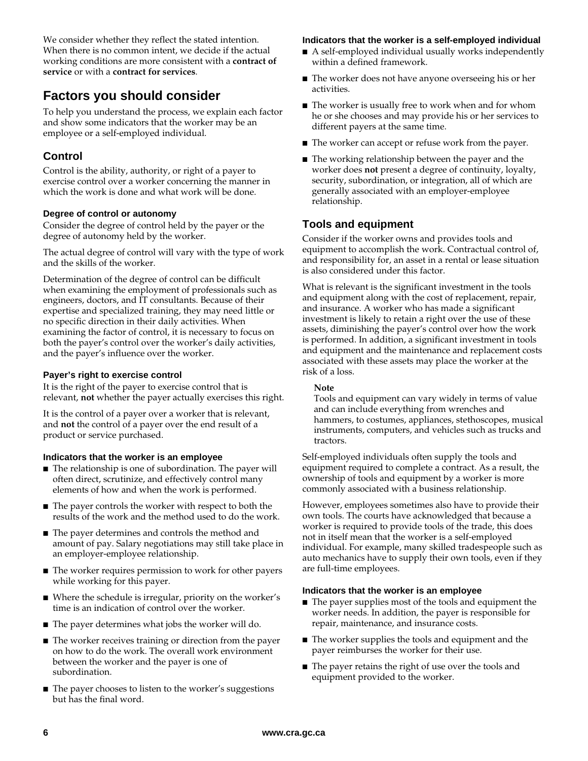We consider whether they reflect the stated intention. When there is no common intent, we decide if the actual working conditions are more consistent with a **contract of service** or with a **contract for services**.

### **Factors you should consider**

To help you understand the process, we explain each factor and show some indicators that the worker may be an employee or a self-employed individual.

### **Control**

Control is the ability, authority, or right of a payer to exercise control over a worker concerning the manner in which the work is done and what work will be done.

#### **Degree of control or autonomy**

Consider the degree of control held by the payer or the degree of autonomy held by the worker.

The actual degree of control will vary with the type of work and the skills of the worker.

Determination of the degree of control can be difficult when examining the employment of professionals such as engineers, doctors, and IT consultants. Because of their expertise and specialized training, they may need little or no specific direction in their daily activities. When examining the factor of control, it is necessary to focus on both the payer's control over the worker's daily activities, and the payer's influence over the worker.

#### **Payer's right to exercise control**

It is the right of the payer to exercise control that is relevant, **not** whether the payer actually exercises this right.

It is the control of a payer over a worker that is relevant, and **not** the control of a payer over the end result of a product or service purchased.

#### **Indicators that the worker is an employee**

- The relationship is one of subordination. The payer will often direct, scrutinize, and effectively control many elements of how and when the work is performed.
- The payer controls the worker with respect to both the results of the work and the method used to do the work.
- The payer determines and controls the method and amount of pay. Salary negotiations may still take place in an employer-employee relationship.
- The worker requires permission to work for other payers while working for this payer.
- Where the schedule is irregular, priority on the worker's time is an indication of control over the worker.
- The payer determines what jobs the worker will do.
- The worker receives training or direction from the payer on how to do the work. The overall work environment between the worker and the payer is one of subordination.
- The payer chooses to listen to the worker's suggestions but has the final word.

#### **Indicators that the worker is a self-employed individual**

- A self-employed individual usually works independently within a defined framework.
- The worker does not have anyone overseeing his or her activities.
- The worker is usually free to work when and for whom he or she chooses and may provide his or her services to different payers at the same time.
- The worker can accept or refuse work from the payer.
- The working relationship between the payer and the worker does **not** present a degree of continuity, loyalty, security, subordination, or integration, all of which are generally associated with an employer-employee relationship.

#### **Tools and equipment**

Consider if the worker owns and provides tools and equipment to accomplish the work. Contractual control of, and responsibility for, an asset in a rental or lease situation is also considered under this factor.

What is relevant is the significant investment in the tools and equipment along with the cost of replacement, repair, and insurance. A worker who has made a significant investment is likely to retain a right over the use of these assets, diminishing the payer's control over how the work is performed. In addition, a significant investment in tools and equipment and the maintenance and replacement costs associated with these assets may place the worker at the risk of a loss.

#### **Note**

Tools and equipment can vary widely in terms of value and can include everything from wrenches and hammers, to costumes, appliances, stethoscopes, musical instruments, computers, and vehicles such as trucks and tractors.

Self-employed individuals often supply the tools and equipment required to complete a contract. As a result, the ownership of tools and equipment by a worker is more commonly associated with a business relationship.

However, employees sometimes also have to provide their own tools. The courts have acknowledged that because a worker is required to provide tools of the trade, this does not in itself mean that the worker is a self-employed individual. For example, many skilled tradespeople such as auto mechanics have to supply their own tools, even if they are full-time employees.

#### **Indicators that the worker is an employee**

- The payer supplies most of the tools and equipment the worker needs. In addition, the payer is responsible for repair, maintenance, and insurance costs.
- The worker supplies the tools and equipment and the payer reimburses the worker for their use.
- The payer retains the right of use over the tools and equipment provided to the worker.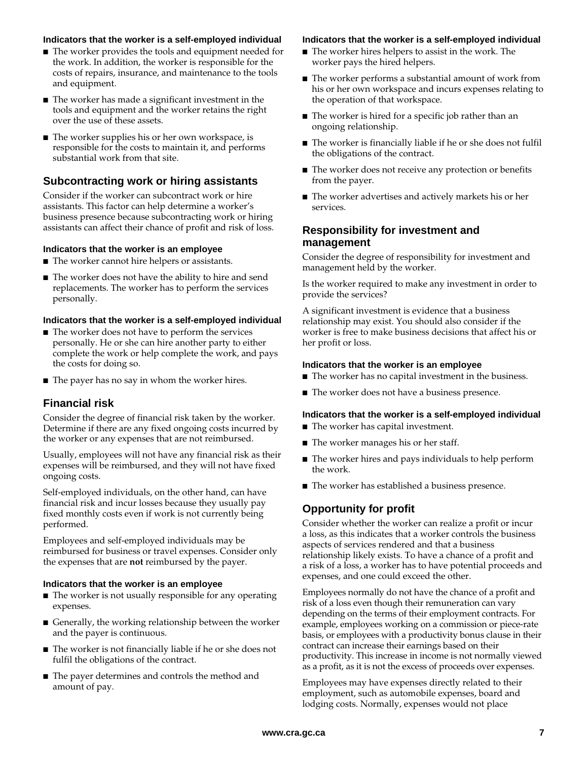#### **Indicators that the worker is a self-employed individual**

- The worker provides the tools and equipment needed for the work. In addition, the worker is responsible for the costs of repairs, insurance, and maintenance to the tools and equipment.
- The worker has made a significant investment in the tools and equipment and the worker retains the right over the use of these assets.
- The worker supplies his or her own workspace, is responsible for the costs to maintain it, and performs substantial work from that site.

#### **Subcontracting work or hiring assistants**

Consider if the worker can subcontract work or hire assistants. This factor can help determine a worker's business presence because subcontracting work or hiring assistants can affect their chance of profit and risk of loss.

#### **Indicators that the worker is an employee**

- The worker cannot hire helpers or assistants.
- The worker does not have the ability to hire and send replacements. The worker has to perform the services personally.

#### **Indicators that the worker is a self-employed individual**

- The worker does not have to perform the services personally. He or she can hire another party to either complete the work or help complete the work, and pays the costs for doing so.
- The payer has no say in whom the worker hires.

#### **Financial risk**

Consider the degree of financial risk taken by the worker. Determine if there are any fixed ongoing costs incurred by the worker or any expenses that are not reimbursed.

Usually, employees will not have any financial risk as their expenses will be reimbursed, and they will not have fixed ongoing costs.

Self-employed individuals, on the other hand, can have financial risk and incur losses because they usually pay fixed monthly costs even if work is not currently being performed.

Employees and self-employed individuals may be reimbursed for business or travel expenses. Consider only the expenses that are **not** reimbursed by the payer.

#### **Indicators that the worker is an employee**

- The worker is not usually responsible for any operating expenses.
- Generally, the working relationship between the worker and the payer is continuous.
- The worker is not financially liable if he or she does not fulfil the obligations of the contract.
- The payer determines and controls the method and amount of pay.

#### **Indicators that the worker is a self-employed individual**

- The worker hires helpers to assist in the work. The worker pays the hired helpers.
- The worker performs a substantial amount of work from his or her own workspace and incurs expenses relating to the operation of that workspace.
- The worker is hired for a specific job rather than an ongoing relationship.
- The worker is financially liable if he or she does not fulfil the obligations of the contract.
- The worker does not receive any protection or benefits from the payer.
- The worker advertises and actively markets his or her services.

#### **Responsibility for investment and management**

Consider the degree of responsibility for investment and management held by the worker.

Is the worker required to make any investment in order to provide the services?

A significant investment is evidence that a business relationship may exist. You should also consider if the worker is free to make business decisions that affect his or her profit or loss.

#### **Indicators that the worker is an employee**

- The worker has no capital investment in the business.
- The worker does not have a business presence.

#### **Indicators that the worker is a self-employed individual**

- The worker has capital investment.
- The worker manages his or her staff.
- The worker hires and pays individuals to help perform the work.
- The worker has established a business presence.

#### **Opportunity for profit**

Consider whether the worker can realize a profit or incur a loss, as this indicates that a worker controls the business aspects of services rendered and that a business relationship likely exists. To have a chance of a profit and a risk of a loss, a worker has to have potential proceeds and expenses, and one could exceed the other.

Employees normally do not have the chance of a profit and risk of a loss even though their remuneration can vary depending on the terms of their employment contracts. For example, employees working on a commission or piece-rate basis, or employees with a productivity bonus clause in their contract can increase their earnings based on their productivity. This increase in income is not normally viewed as a profit, as it is not the excess of proceeds over expenses.

Employees may have expenses directly related to their employment, such as automobile expenses, board and lodging costs. Normally, expenses would not place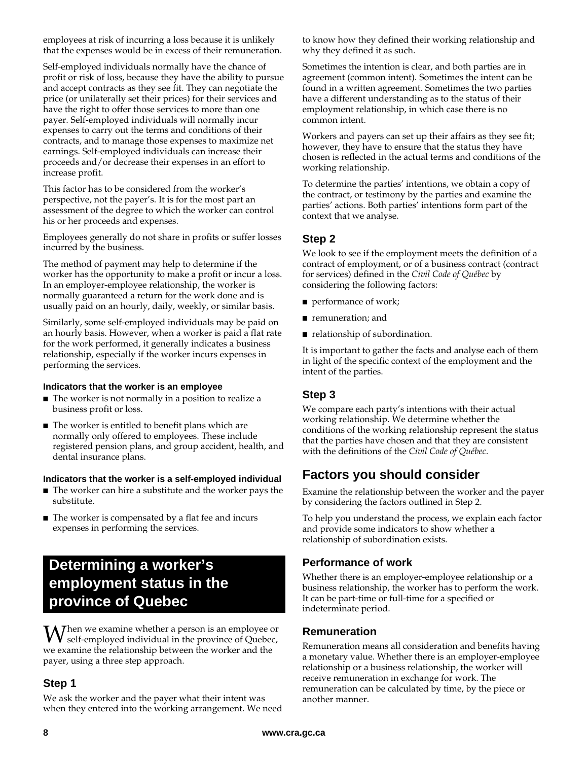employees at risk of incurring a loss because it is unlikely that the expenses would be in excess of their remuneration.

Self-employed individuals normally have the chance of profit or risk of loss, because they have the ability to pursue and accept contracts as they see fit. They can negotiate the price (or unilaterally set their prices) for their services and have the right to offer those services to more than one payer. Self-employed individuals will normally incur expenses to carry out the terms and conditions of their contracts, and to manage those expenses to maximize net earnings. Self-employed individuals can increase their proceeds and/or decrease their expenses in an effort to increase profit.

This factor has to be considered from the worker's perspective, not the payer's. It is for the most part an assessment of the degree to which the worker can control his or her proceeds and expenses.

Employees generally do not share in profits or suffer losses incurred by the business.

The method of payment may help to determine if the worker has the opportunity to make a profit or incur a loss. In an employer-employee relationship, the worker is normally guaranteed a return for the work done and is usually paid on an hourly, daily, weekly, or similar basis.

Similarly, some self-employed individuals may be paid on an hourly basis. However, when a worker is paid a flat rate for the work performed, it generally indicates a business relationship, especially if the worker incurs expenses in performing the services.

#### **Indicators that the worker is an employee**

- The worker is not normally in a position to realize a business profit or loss.
- The worker is entitled to benefit plans which are normally only offered to employees. These include registered pension plans, and group accident, health, and dental insurance plans.

#### **Indicators that the worker is a self-employed individual**

- The worker can hire a substitute and the worker pays the substitute.
- The worker is compensated by a flat fee and incurs expenses in performing the services.

### **Determining a worker's employment status in the province of Quebec**

hen we examine whether a person is an employee or When we examine whether a person is an employee or<br>self-employed individual in the province of Quebec, we examine the relationship between the worker and the payer, using a three step approach.

#### **Step 1**

We ask the worker and the payer what their intent was when they entered into the working arrangement. We need to know how they defined their working relationship and why they defined it as such.

Sometimes the intention is clear, and both parties are in agreement (common intent). Sometimes the intent can be found in a written agreement. Sometimes the two parties have a different understanding as to the status of their employment relationship, in which case there is no common intent.

Workers and payers can set up their affairs as they see fit; however, they have to ensure that the status they have chosen is reflected in the actual terms and conditions of the working relationship.

To determine the parties' intentions, we obtain a copy of the contract, or testimony by the parties and examine the parties' actions. Both parties' intentions form part of the context that we analyse.

#### **Step 2**

We look to see if the employment meets the definition of a contract of employment, or of a business contract (contract for services) defined in the *Civil Code of Québec* by considering the following factors:

- performance of work;
- remuneration; and
- relationship of subordination.

It is important to gather the facts and analyse each of them in light of the specific context of the employment and the intent of the parties.

### **Step 3**

We compare each party's intentions with their actual working relationship. We determine whether the conditions of the working relationship represent the status that the parties have chosen and that they are consistent with the definitions of the *Civil Code of Québec*.

### **Factors you should consider**

Examine the relationship between the worker and the payer by considering the factors outlined in Step 2.

To help you understand the process, we explain each factor and provide some indicators to show whether a relationship of subordination exists.

#### **Performance of work**

Whether there is an employer-employee relationship or a business relationship, the worker has to perform the work. It can be part-time or full-time for a specified or indeterminate period.

#### **Remuneration**

Remuneration means all consideration and benefits having a monetary value. Whether there is an employer-employee relationship or a business relationship, the worker will receive remuneration in exchange for work. The remuneration can be calculated by time, by the piece or another manner.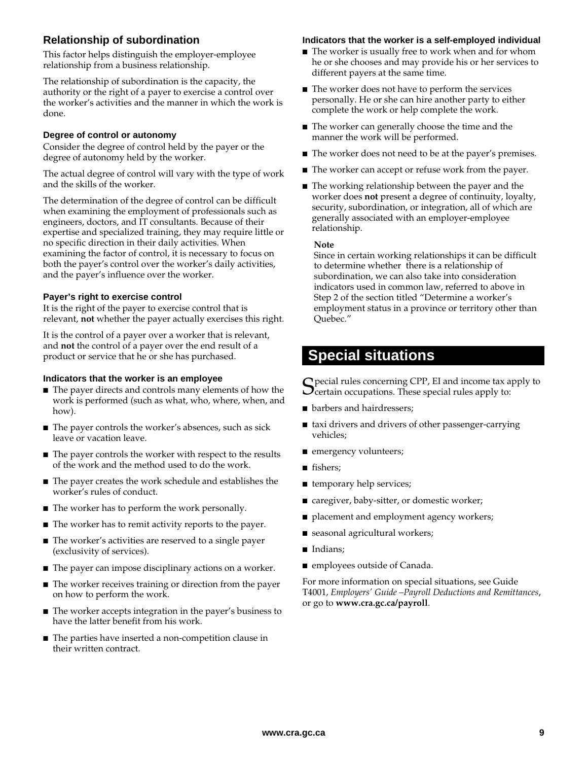#### **Relationship of subordination**

This factor helps distinguish the employer-employee relationship from a business relationship.

The relationship of subordination is the capacity, the authority or the right of a payer to exercise a control over the worker's activities and the manner in which the work is done.

#### **Degree of control or autonomy**

Consider the degree of control held by the payer or the degree of autonomy held by the worker.

The actual degree of control will vary with the type of work and the skills of the worker.

The determination of the degree of control can be difficult when examining the employment of professionals such as engineers, doctors, and IT consultants. Because of their expertise and specialized training, they may require little or no specific direction in their daily activities. When examining the factor of control, it is necessary to focus on both the payer's control over the worker's daily activities, and the payer's influence over the worker.

#### **Payer's right to exercise control**

It is the right of the payer to exercise control that is relevant, **not** whether the payer actually exercises this right.

It is the control of a payer over a worker that is relevant, and **not** the control of a payer over the end result of a product or service that he or she has purchased.

#### **Indicators that the worker is an employee**

- The payer directs and controls many elements of how the work is performed (such as what, who, where, when, and how).
- The payer controls the worker's absences, such as sick leave or vacation leave.
- The payer controls the worker with respect to the results of the work and the method used to do the work.
- The payer creates the work schedule and establishes the worker's rules of conduct.
- The worker has to perform the work personally.
- The worker has to remit activity reports to the payer.
- The worker's activities are reserved to a single payer (exclusivity of services).
- The payer can impose disciplinary actions on a worker.
- The worker receives training or direction from the payer on how to perform the work.
- The worker accepts integration in the payer's business to have the latter benefit from his work.
- The parties have inserted a non-competition clause in their written contract.

#### **Indicators that the worker is a self-employed individual**

- The worker is usually free to work when and for whom he or she chooses and may provide his or her services to different payers at the same time.
- The worker does not have to perform the services personally. He or she can hire another party to either complete the work or help complete the work.
- The worker can generally choose the time and the manner the work will be performed.
- The worker does not need to be at the payer's premises.
- The worker can accept or refuse work from the payer.
- The working relationship between the payer and the worker does **not** present a degree of continuity, loyalty, security, subordination, or integration, all of which are generally associated with an employer-employee relationship.

#### **Note**

Since in certain working relationships it can be difficult to determine whether there is a relationship of subordination, we can also take into consideration indicators used in common law, referred to above in Step 2 of the section titled "Determine a worker's employment status in a province or territory other than Quebec."

### **Special situations**

**S** pecial rules concerning CPP, EI and income tax apply to certain occupations. These special rules apply to:  $\bigcup$  certain occupations. These special rules apply to:

- barbers and hairdressers;
- taxi drivers and drivers of other passenger-carrying vehicles;
- emergency volunteers;
- fishers;
- temporary help services;
- caregiver, baby-sitter, or domestic worker;
- placement and employment agency workers;
- seasonal agricultural workers;
- Indians;
- employees outside of Canada.

For more information on special situations, see Guide T4001*, Employers' Guide –Payroll Deductions and Remittances*, or go to **www.cra.gc.ca/payroll**.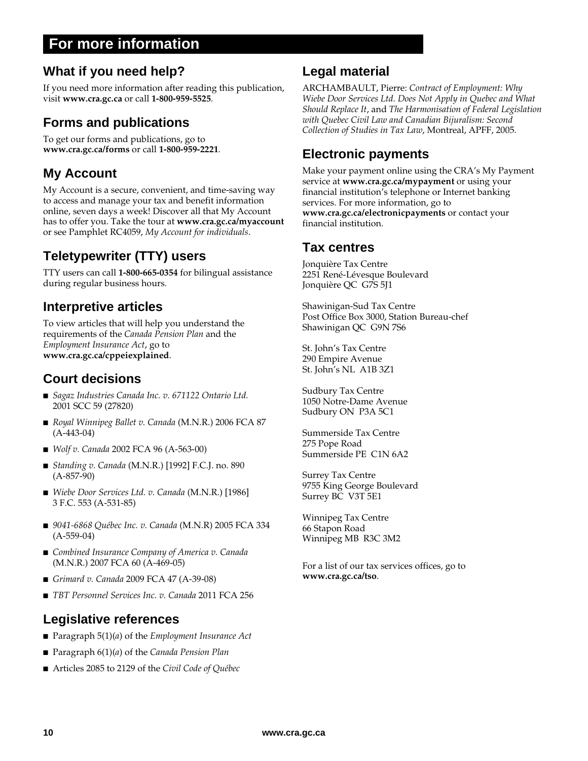### **For more information**

### **What if you need help?**

If you need more information after reading this publication, visit **www.cra.gc.ca** or call **1-800-959-5525**.

### **Forms and publications**

To get our forms and publications, go to **www.cra.gc.ca/forms** or call **1-800-959-2221**.

### **My Account**

My Account is a secure, convenient, and time-saving way to access and manage your tax and benefit information online, seven days a week! Discover all that My Account has to offer you. Take the tour at **www.cra.gc.ca/myaccount** or see Pamphlet RC4059, *My Account for individuals*.

### **Teletypewriter (TTY) users**

TTY users can call **1-800-665-0354** for bilingual assistance during regular business hours.

### **Interpretive articles**

To view articles that will help you understand the requirements of the *Canada Pension Plan* and the *Employment Insurance Act*, go to **www.cra.gc.ca/cppeiexplained**.

### **Court decisions**

- *Sagaz Industries Canada Inc. v. 671122 Ontario Ltd.* 2001 SCC 59 (27820)
- *Royal Winnipeg Ballet v. Canada* (M.N.R.) 2006 FCA 87 (A-443-04)
- *Wolf v. Canada* 2002 FCA 96 (A-563-00)
- *Standing v. Canada* (M.N.R.) [1992] F.C.J. no. 890 (A-857-90)
- *Wiebe Door Services Ltd. v. Canada* (M.N.R.) [1986] 3 F.C. 553 (A-531-85)
- 9041-6868 Québec Inc. v. Canada (M.N.R) 2005 FCA 334 (A-559-04)
- *Combined Insurance Company of America v. Canada* (M.N.R.) 2007 FCA 60 (A-469-05)
- *Grimard v. Canada* 2009 FCA 47 (A-39-08)
- *TBT Personnel Services Inc. v. Canada* 2011 FCA 256

### **Legislative references**

- Paragraph 5(1)(*a*) of the *Employment Insurance Act*
- Paragraph 6(1)(*a*) of the *Canada Pension Plan*
- Articles 2085 to 2129 of the *Civil Code of Québec*

### **Legal material**

ARCHAMBAULT, Pierre: *Contract of Employment: Why Wiebe Door Services Ltd. Does Not Apply in Quebec and What Should Replace It*, and *The Harmonisation of Federal Legislation with Quebec Civil Law and Canadian Bijuralism: Second Collection of Studies in Tax Law*, Montreal, APFF, 2005.

### **Electronic payments**

Make your payment online using the CRA's My Payment service at **www.cra.gc.ca/mypayment** or using your financial institution's telephone or Internet banking services. For more information, go to **www.cra.gc.ca/electronicpayments** or contact your financial institution.

### **Tax centres**

Jonquière Tax Centre 2251 René-Lévesque Boulevard Jonquière QC G7S 5J1

Shawinigan-Sud Tax Centre Post Office Box 3000, Station Bureau-chef Shawinigan QC G9N 7S6

St. John's Tax Centre 290 Empire Avenue St. John's NL A1B 3Z1

Sudbury Tax Centre 1050 Notre-Dame Avenue Sudbury ON P3A 5C1

Summerside Tax Centre 275 Pope Road Summerside PE C1N 6A2

Surrey Tax Centre 9755 King George Boulevard Surrey BC V3T 5E1

Winnipeg Tax Centre 66 Stapon Road Winnipeg MB R3C 3M2

For a list of our tax services offices, go to **www.cra.gc.ca/tso**.